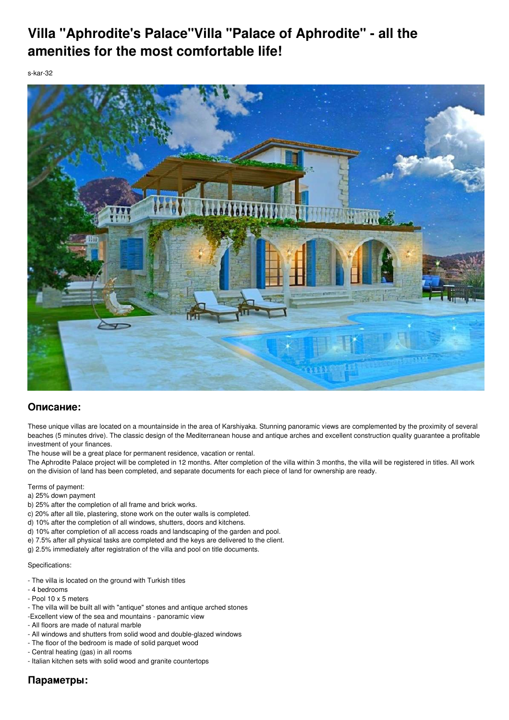## **Villa "Aphrodite's Palace"Villa "Palace of Aphrodite" - all the amenities for the most comfortable life!**

s-kar-32



## **Описание:**

These unique villas are located on a mountainside in the area of Karshiyaka. Stunning panoramic views are complemented by the proximity of several beaches (5 minutes drive). The classic design of the Mediterranean house and antique arches and excellent construction quality guarantee a profitable investment of your finances.

The house will be a great place for permanent residence, vacation or rental.

The Aphrodite Palace project will be completed in 12 months. After completion of the villa within 3 months, the villa will be registered in titles. All work on the division of land has been completed, and separate documents for each piece of land for ownership are ready.

Terms of payment:

a) 25% down payment

- b) 25% after the completion of all frame and brick works.
- c) 20% after all tile, plastering, stone work on the outer walls is completed.
- d) 10% after the completion of all windows, shutters, doors and kitchens.
- d) 10% after completion of all access roads and landscaping of the garden and pool.
- e) 7.5% after all physical tasks are completed and the keys are delivered to the client.
- g) 2.5% immediately after registration of the villa and pool on title documents.

## Specifications:

- The villa is located on the ground with Turkish titles
- 4 bedrooms
- Pool 10 x 5 meters
- The villa will be built all with "antique" stones and antique arched stones
- -Excellent view of the sea and mountains panoramic view
- All floors are made of natural marble
- All windows and shutters from solid wood and double-glazed windows
- The floor of the bedroom is made of solid parquet wood
- Central heating (gas) in all rooms
- Italian kitchen sets with solid wood and granite countertops

## **Параметры:**